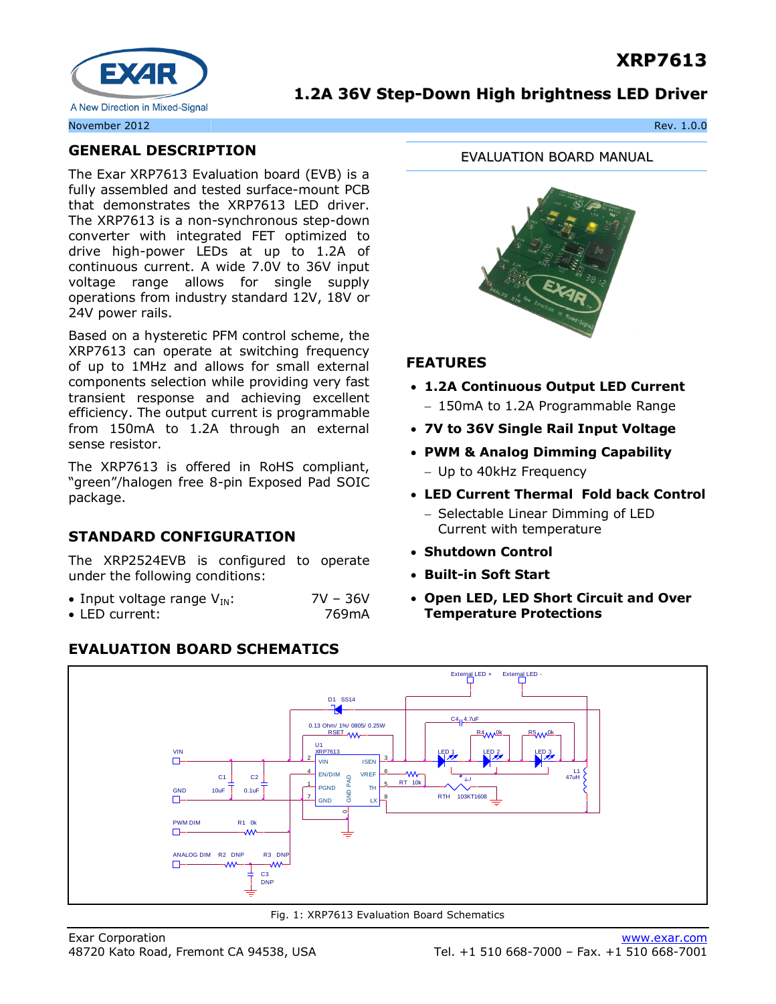# **XRP7613**



### **1.2A 36V Step-Down High brightness LED Driver**

### **GENERAL DESCRIPTION**

The Exar XRP7613 Evaluation board (EVB) is a fully assembled and tested surface-mount PCB that demonstrates the XRP7613 LED driver. The XRP7613 is a non-synchronous step-down converter with integrated FET optimized to drive high-power LEDs at up to 1.2A of continuous current. A wide 7.0V to 36V input voltage range allows for single supply operations from industry standard 12V, 18V or 24V power rails.

Based on a hysteretic PFM control scheme, the XRP7613 can operate at switching frequency of up to 1MHz and allows for small external components selection while providing very fast transient response and achieving excellent efficiency. The output current is programmable from 150mA to 1.2A through an external sense resistor.

The XRP7613 is offered in RoHS compliant, "green"/halogen free 8-pin Exposed Pad SOIC package.

## **STANDARD CONFIGURATION**

The XRP2524EVB is configured to operate under the following conditions:

| • Input voltage range $V_{IN}$ : | $7V - 36V$ |
|----------------------------------|------------|
| $\bullet$ LED current:           | 769mA      |

#### External LED + External LED D<sub>1</sub> SS<sub>14</sub>  $rac{C4}{1}$   $rac{4.7uF}{1.7uF}$ 0.13 Ohm/ 1%/ 0805/ 0.25W<br>RSET<br>U1<br>XRP7613 R 5 M OK C 1 47uH RP7613 VIN LED 1 LED 2 | LED 3  $\Box$ VIN <sup>2</sup> **ISEN** L1<br>47uH EN/DIM <sup>4</sup> **VREF** WW-<br>RT 10k  $C<sub>2</sub>$  $\begin{bmatrix} 2 & 1 & 1 \\ 3 & 1 & 1 \\ 2 & 1 & 1 \\ 3 & 1 & 1 \end{bmatrix}$ ى  $\frac{1}{7}$  PGND  $\overline{1}$ H GND 10uF 0.1uF RTH 103KT1608  $\Box$ **GND** PWM DIM  $R1$  0k  $\begin{matrix} \text{W} \\ \text{R2 DNP} \\ \text{AA} \\ \text{AA} \\ \text{AA} \end{matrix}$  R3 DNP  $\Box$

### **EVALUATION BOARD SCHEMATICS**

EVALUATION BOARD MANUAL



### **FEATURES**

- **1.2A Continuous Output LED Current** - 150mA to 1.2A Programmable Range
- 
- **7V to 36V Single Rail Input Voltage**
- **PWM & Analog Dimming Capability** - Up to 40kHz Frequency
- **LED Current Thermal Fold back Control**
	- Selectable Linear Dimming of LED Current with temperature
- **Shutdown Control**
- **Built-in Soft Start**
- **Open LED, LED Short Circuit and Over Temperature Protections**

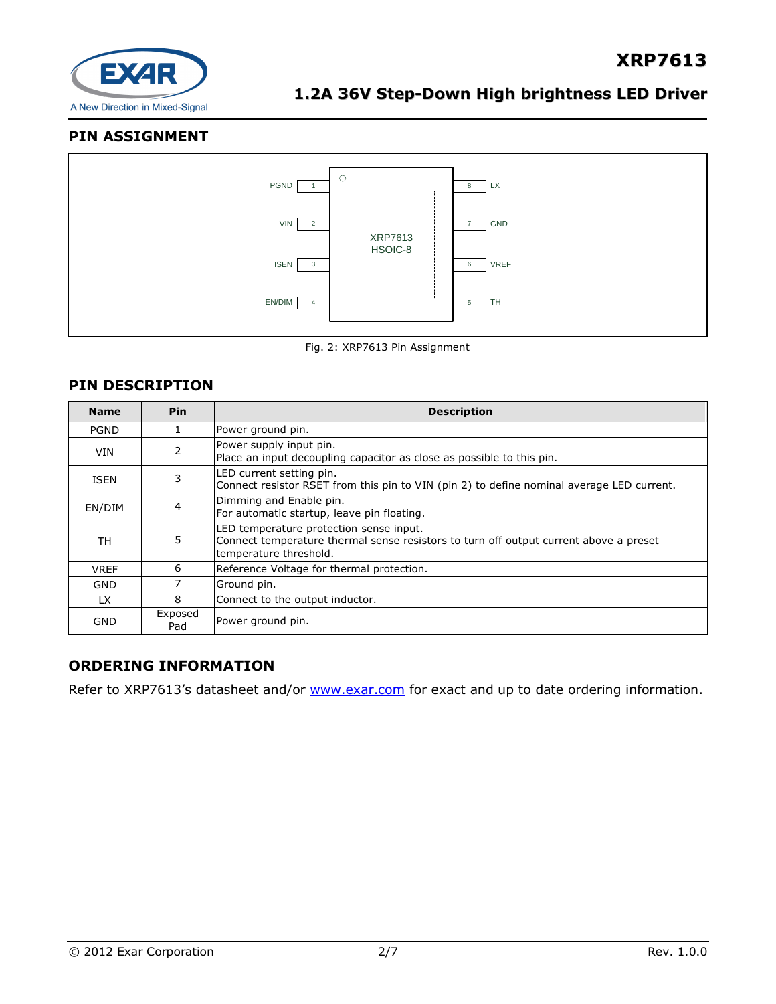

### **PIN ASSIGNMENT**



Fig. 2: XRP7613 Pin Assignment

### **PIN DESCRIPTION**

| <b>Name</b>                                  | <b>Pin</b>     | <b>Description</b>                                                                                                                                         |
|----------------------------------------------|----------------|------------------------------------------------------------------------------------------------------------------------------------------------------------|
| <b>PGND</b>                                  |                | Power ground pin.                                                                                                                                          |
| <b>VIN</b>                                   | 2              | Power supply input pin.<br>Place an input decoupling capacitor as close as possible to this pin.                                                           |
| LED current setting pin.<br>3<br><b>ISEN</b> |                | Connect resistor RSET from this pin to VIN (pin 2) to define nominal average LED current.                                                                  |
| EN/DIM                                       | $\overline{4}$ | Dimming and Enable pin.<br>For automatic startup, leave pin floating.                                                                                      |
| TН                                           | 5              | LED temperature protection sense input.<br>Connect temperature thermal sense resistors to turn off output current above a preset<br>temperature threshold. |
| <b>VREF</b>                                  | 6              | Reference Voltage for thermal protection.                                                                                                                  |
| GND                                          |                | Ground pin.                                                                                                                                                |
| <b>LX</b>                                    | 8              | Connect to the output inductor.                                                                                                                            |
| GND                                          | Exposed<br>Pad | Power ground pin.                                                                                                                                          |

### **ORDERING INFORMATION**

Refer to XRP7613's datasheet and/or [www.exar.com](http://www.exar.com/) for exact and up to date ordering information.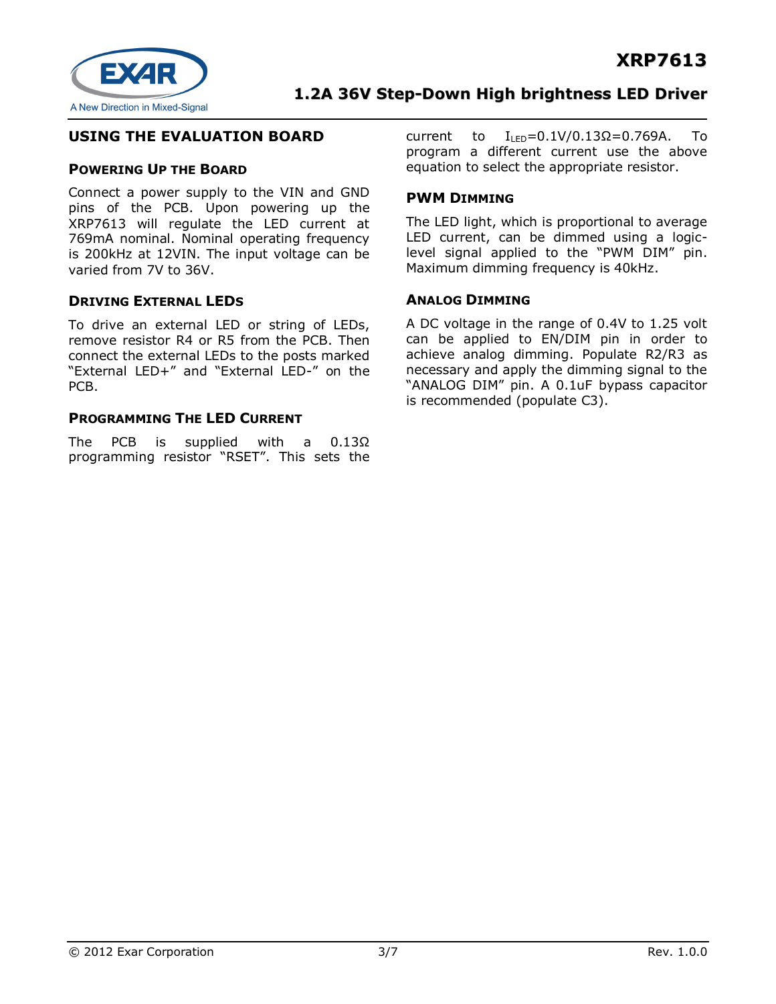

### **USING THE EVALUATION BOARD**

#### **POWERING UP THE BOARD**

Connect a power supply to the VIN and GND pins of the PCB. Upon powering up the XRP7613 will regulate the LED current at 769mA nominal. Nominal operating frequency is 200kHz at 12VIN. The input voltage can be varied from 7V to 36V.

#### **DRIVING EXTERNAL LEDS**

To drive an external LED or string of LEDs, remove resistor R4 or R5 from the PCB. Then connect the external LEDs to the posts marked "External LED+" and "External LED-" on the PCB.

#### **PROGRAMMING THE LED CURRENT**

The PCB is supplied with a 0.13Ω programming resistor "RSET". This sets the current to  $I_{\text{LED}} = 0.1 \frac{V}{0.13}$ Ω=0.769A. To program a different current use the above equation to select the appropriate resistor.

#### **PWM DIMMING**

The LED light, which is proportional to average LED current, can be dimmed using a logiclevel signal applied to the "PWM DIM" pin. Maximum dimming frequency is 40kHz.

#### **ANALOG DIMMING**

A DC voltage in the range of 0.4V to 1.25 volt can be applied to EN/DIM pin in order to achieve analog dimming. Populate R2/R3 as necessary and apply the dimming signal to the "ANALOG DIM" pin. A 0.1uF bypass capacitor is recommended (populate C3).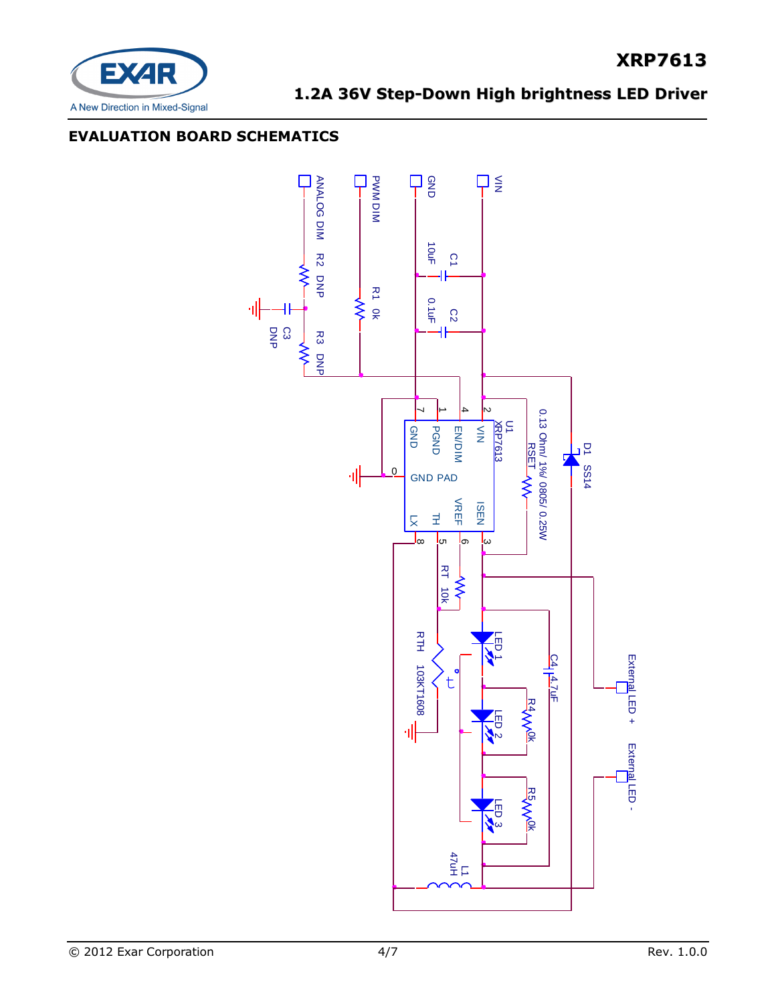

**XRP7613**

### **EVALUATION BOARD SCHEMATICS**

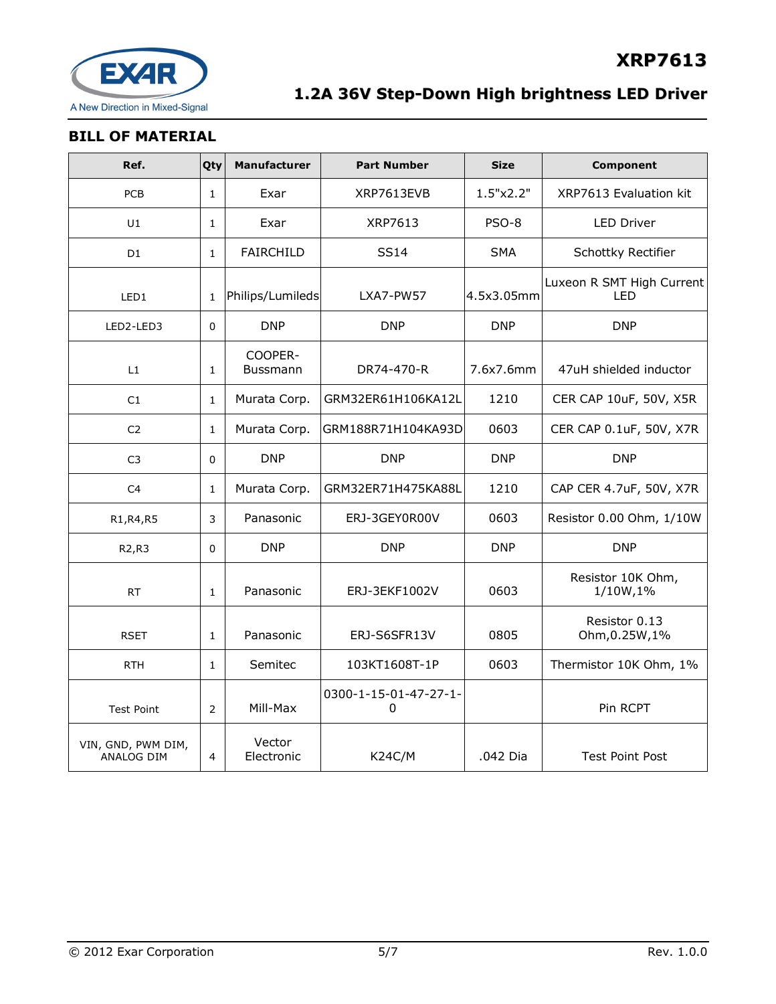

### **BILL OF MATERIAL**

| Ref.                                    | Qty          | Manufacturer               | <b>Part Number</b>         | <b>Size</b> | <b>Component</b>                 |
|-----------------------------------------|--------------|----------------------------|----------------------------|-------------|----------------------------------|
| <b>PCB</b>                              | $\mathbf{1}$ | Exar                       | XRP7613EVB                 | 1.5"x2.2"   | XRP7613 Evaluation kit           |
| U1                                      | $\mathbf{1}$ | Exar                       | XRP7613                    | PSO-8       | <b>LED Driver</b>                |
| D <sub>1</sub>                          | $\mathbf{1}$ | <b>FAIRCHILD</b>           | <b>SS14</b>                | <b>SMA</b>  | Schottky Rectifier               |
| LED1                                    | $\mathbf{1}$ | Philips/Lumileds           | LXA7-PW57                  | 4.5x3.05mm  | Luxeon R SMT High Current<br>LED |
| LED2-LED3                               | 0            | <b>DNP</b>                 | <b>DNP</b>                 | <b>DNP</b>  | <b>DNP</b>                       |
| L1                                      | $\mathbf{1}$ | COOPER-<br><b>Bussmann</b> | DR74-470-R                 | 7.6x7.6mm   | 47uH shielded inductor           |
| C1                                      | $\mathbf{1}$ | Murata Corp.               | GRM32ER61H106KA12L         | 1210        | CER CAP 10uF, 50V, X5R           |
| C <sub>2</sub>                          | $\mathbf{1}$ | Murata Corp.               | GRM188R71H104KA93D         | 0603        | CER CAP 0.1uF, 50V, X7R          |
| C <sub>3</sub>                          | $\Omega$     | <b>DNP</b>                 | <b>DNP</b>                 | <b>DNP</b>  | <b>DNP</b>                       |
| C <sub>4</sub>                          | 1            | Murata Corp.               | GRM32ER71H475KA88L         | 1210        | CAP CER 4.7uF, 50V, X7R          |
| R1, R4, R5                              | 3            | Panasonic                  | ERJ-3GEY0R00V              | 0603        | Resistor 0.00 Ohm, 1/10W         |
| R2, R3                                  | 0            | <b>DNP</b>                 | <b>DNP</b>                 | <b>DNP</b>  | <b>DNP</b>                       |
| <b>RT</b>                               | $\mathbf{1}$ | Panasonic                  | ERJ-3EKF1002V              | 0603        | Resistor 10K Ohm,<br>1/10W,1%    |
| <b>RSET</b>                             | $\mathbf{1}$ | Panasonic                  | ERJ-S6SFR13V               | 0805        | Resistor 0.13<br>Ohm, 0.25W, 1%  |
| <b>RTH</b>                              | $\mathbf{1}$ | Semitec                    | 103KT1608T-1P              | 0603        | Thermistor 10K Ohm, 1%           |
| <b>Test Point</b>                       | 2            | Mill-Max                   | 0300-1-15-01-47-27-1-<br>0 |             | Pin RCPT                         |
| VIN, GND, PWM DIM,<br><b>ANALOG DIM</b> | 4            | Vector<br>Electronic       | <b>K24C/M</b>              | .042 Dia    | <b>Test Point Post</b>           |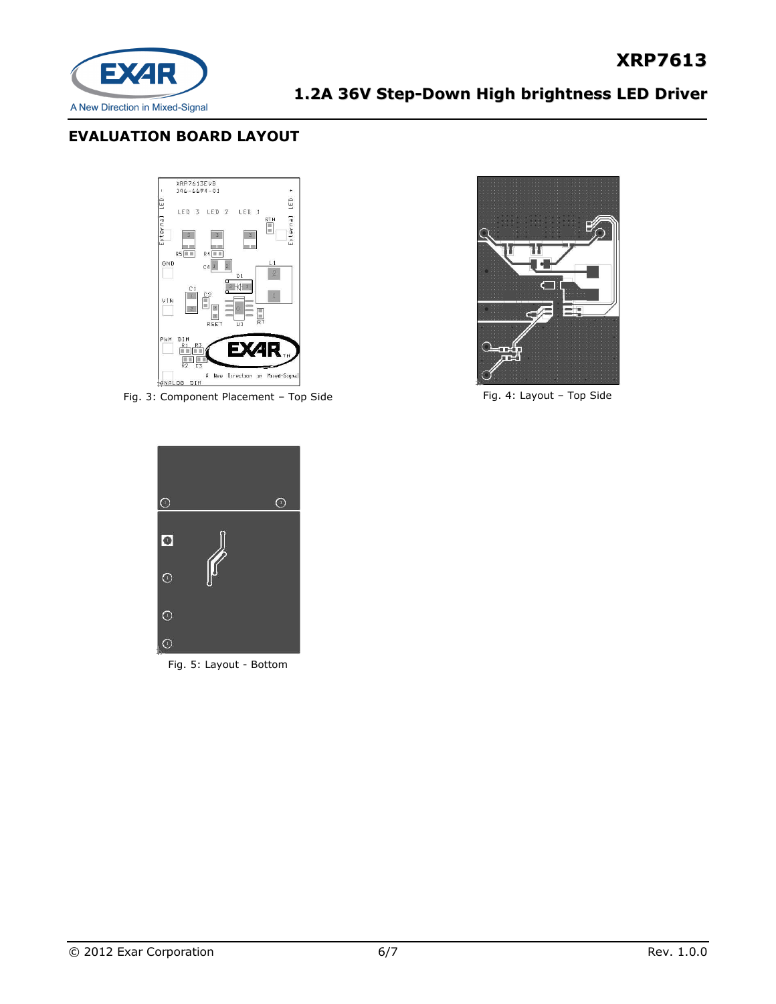

### **EVALUATION BOARD LAYOUT**



Fig. 3: Component Placement - Top Side Fig. 4: Layout - Top Side



**XRP7613**



Fig. 5: Layout - Bottom